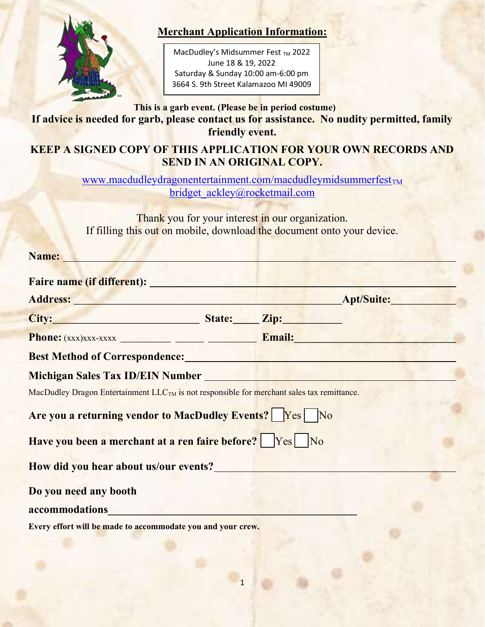

#### Merchant Application Information:

Period of the event is 1300-1901. MacDudley's Midsummer Fest TM 2022 June 18 & 19, 2022 Saturday & Sunday 10:00 am-6:00 pm 3664 S. 9th Street Kalamazoo MI 49009

#### This is a garb event. (Please be in period costume) If advice is needed for garb, please contact us for assistance. No nudity permitted, family friendly event.

#### KEEP A SIGNED COPY OF THIS APPLICATION FOR YOUR OWN RECORDS AND SEND IN AN ORIGINAL COPY.

www.macdudleydragonentertainment.com/macdudleymidsummerfest $_{TM}$ bridget\_ackley@rocketmail.com

Thank you for your interest in our organization. If filling this out on mobile, download the document onto your device.

| Name: |
|-------|
|       |

| Address: Andress: Apt/Suite: Apt/Suite:                                                                                                                                                                                       |  |  |
|-------------------------------------------------------------------------------------------------------------------------------------------------------------------------------------------------------------------------------|--|--|
| City: City: City: City: City: City: City: City: City: City: City: City: City: City: City: City: City: City: City: City: City: City: City: City: City: City: City: City: City: City: City: City: City: City: City: City: City: |  |  |
|                                                                                                                                                                                                                               |  |  |
| <b>Best Method of Correspondence:</b> Manual Contract of Correspondence:                                                                                                                                                      |  |  |
| Michigan Sales Tax ID/EIN Number                                                                                                                                                                                              |  |  |
| MacDudley Dragon Entertainment LLC <sub>TM</sub> is not responsible for merchant sales tax remittance.                                                                                                                        |  |  |
| Are you a returning vendor to MacDudley Events?   Yes   No                                                                                                                                                                    |  |  |
| Have you been a merchant at a ren faire before?   Yes No                                                                                                                                                                      |  |  |
| How did you hear about us/our events?                                                                                                                                                                                         |  |  |
| Do you need any booth                                                                                                                                                                                                         |  |  |
| accommodations                                                                                                                                                                                                                |  |  |
| Every effort will be made to accommodate you and your crew.                                                                                                                                                                   |  |  |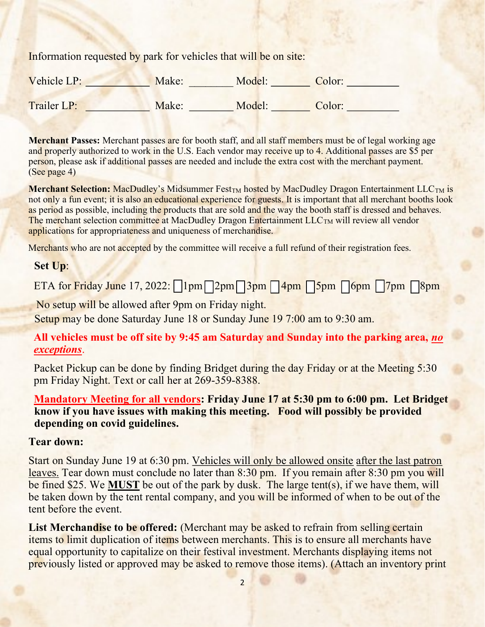Information requested by park for vehicles that will be on site:

| Vehicle LP: | Make: | Model: | Color: |
|-------------|-------|--------|--------|
| Trailer LP: | Make: | Model: | Color: |

Merchant Passes: Merchant passes are for booth staff, and all staff members must be of legal working age and properly authorized to work in the U.S. Each vendor may receive up to 4. Additional passes are \$5 per person, please ask if additional passes are needed and include the extra cost with the merchant payment. (See page 4)

Merchant Selection: MacDudley's Midsummer Fest<sub>TM</sub> hosted by MacDudley Dragon Entertainment  $LLC<sub>TM</sub>$  is not only a fun event; it is also an educational experience for guests. It is important that all merchant booths look as period as possible, including the products that are sold and the way the booth staff is dressed and behaves. The merchant selection committee at MacDudley Dragon Entertainment LLC<sub>TM</sub> will review all vendor applications for appropriateness and uniqueness of merchandise.

Merchants who are not accepted by the committee will receive a full refund of their registration fees.

#### Set Up:

ETA for Friday June 17, 2022:  $\lceil \ln m \rceil \lceil 2pm \sqrt{3pm} \sqrt{4pm} \sqrt{5pm} \sqrt{6pm} \sqrt{7pm} \sqrt{8pm} \sqrt{2pm} \sqrt{2pm} \sqrt{2pm} \sqrt{2pm} \sqrt{2pm} \sqrt{2pm} \sqrt{2pm} \sqrt{2pm} \sqrt{2pm} \sqrt{2pm} \sqrt{2pm} \sqrt{2pm} \sqrt{2pm} \sqrt{2pm} \sqrt{2pm} \sqrt{2pm} \sqrt{2pm} \sqrt{2pm} \sqrt{2pm} \sqrt{2pm} \sqrt{2pm} \sqrt{2pm} \sqrt{2pm} \$ 

No setup will be allowed after 9pm on Friday night.

Setup may be done Saturday June 18 or Sunday June 19 7:00 am to 9:30 am.

All vehicles must be off site by 9:45 am Saturday and Sunday into the parking area, no exceptions.

Packet Pickup can be done by finding Bridget during the day Friday or at the Meeting 5:30 pm Friday Night. Text or call her at 269-359-8388.

Mandatory Meeting for all vendors: Friday June 17 at 5:30 pm to 6:00 pm. Let Bridget know if you have issues with making this meeting. Food will possibly be provided depending on covid guidelines.

#### Tear down:

Start on Sunday June 19 at 6:30 pm. Vehicles will only be allowed onsite after the last patron leaves. Tear down must conclude no later than 8:30 pm. If you remain after 8:30 pm you will be fined \$25. We MUST be out of the park by dusk. The large tent(s), if we have them, will be taken down by the tent rental company, and you will be informed of when to be out of the tent before the event.

List Merchandise to be offered: (Merchant may be asked to refrain from selling certain items to limit duplication of items between merchants. This is to ensure all merchants have equal opportunity to capitalize on their festival investment. Merchants displaying items not previously listed or approved may be asked to remove those items). (Attach an inventory print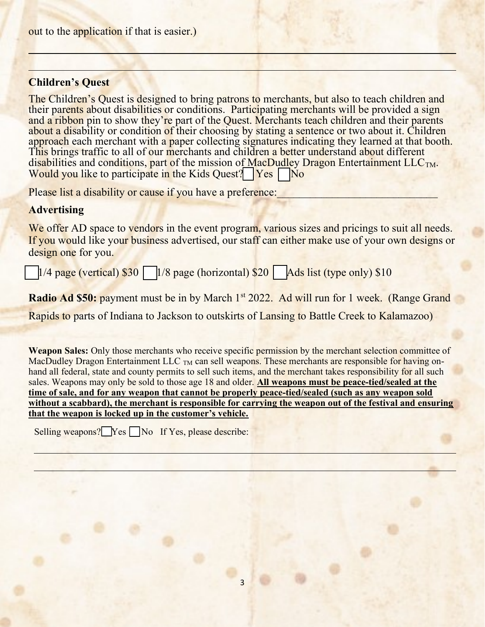#### Children's Quest

l

The Children's Quest is designed to bring patrons to merchants, but also to teach children and their parents about disabilities or conditions. Participating merchants will be provided a sign and a ribbon pin to show they're part of the Quest. Merchants teach children and their parents about a disability or condition of their choosing by stating a sentence or two about it. Children approach each merchant with a paper collecting signatures indicating they learned at that booth. This brings traffic to all of our merchants and children a better understand about different disabilities and conditions, part of the mission of MacDudley Dragon Entertainment  $LLC<sub>TM</sub>$ . Would you like to participate in the Kids Quest? **Yes** No

Please list a disability or cause if you have a preference:

#### **Advertising**

l

We offer AD space to vendors in the event program, various sizes and pricings to suit all needs. If you would like your business advertised, our staff can either make use of your own designs or design one for you.

 $1/4$  page (vertical) \$30  $\Box$  1/8 page (horizontal) \$20  $\Box$  Ads list (type only) \$10

Radio Ad \$50: payment must be in by March 1<sup>st</sup> 2022. Ad will run for 1 week. (Range Grand

Rapids to parts of Indiana to Jackson to outskirts of Lansing to Battle Creek to Kalamazoo)

Weapon Sales: Only those merchants who receive specific permission by the merchant selection committee of MacDudley Dragon Entertainment LLC <sub>TM</sub> can sell weapons. These merchants are responsible for having onhand all federal, state and county permits to sell such items, and the merchant takes responsibility for all such sales. Weapons may only be sold to those age 18 and older. All weapons must be peace-tied/sealed at the time of sale, and for any weapon that cannot be properly peace-tied/sealed (such as any weapon sold without a scabbard), the merchant is responsible for carrying the weapon out of the festival and ensuring that the weapon is locked up in the customer's vehicle.

Selling weapons?  $Yes \nightharpoonup No$  If Yes, please describe: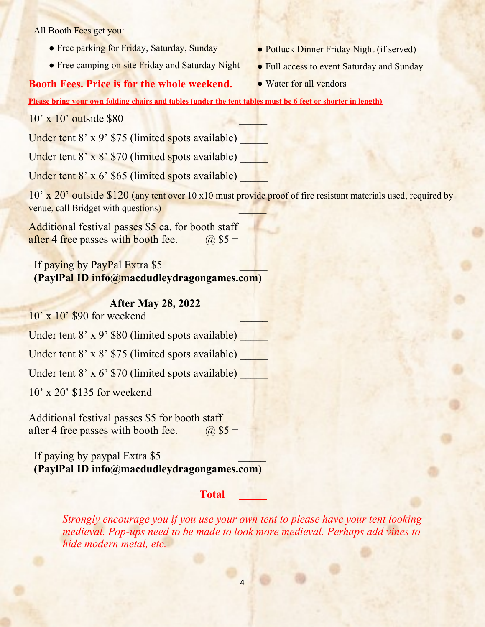All Booth Fees get you:

- Free parking for Friday, Saturday, Sunday
- Free camping on site Friday and Saturday Night

#### Booth Fees. Price is for the whole weekend.

- Potluck Dinner Friday Night (if served)
- Full access to event Saturday and Sunday
- Water for all vendors

Please bring your own folding chairs and tables (under the tent tables must be 6 feet or shorter in length)

 $10' \times 10'$  outside \$80

Under tent  $8'$  x  $9'$  \$75 (limited spots available)

Under tent  $8' \times 8'$  \$70 (limited spots available)

Under tent  $8' \times 6'$  \$65 (limited spots available)

10' x 20' outside \$120 (any tent over 10 x10 must provide proof of fire resistant materials used, required by venue, call Bridget with questions)

Additional festival passes \$5 ea. for booth staff after 4 free passes with booth fee.  $\qquad \qquad (\partial)$  \$5 =

If paying by PayPal Extra \$5 (PaylPal ID info@macdudleydragongames.com)

#### After May 28, 2022

 $10'$  x  $10'$  \$90 for weekend

Under tent 8' x 9' \$80 (limited spots available)

Under tent  $8' \times 8'$  \$75 (limited spots available)

Under tent  $8' \times 6'$  \$70 (limited spots available)

10' x 20' \$135 for weekend \_\_\_\_\_

Additional festival passes \$5 for booth staff after 4 free passes with booth fee.  $\qquad \qquad (\partial \$5 = \qquad \qquad$ 

If paying by paypal Extra \$5 (PaylPal ID info@macdudleydragongames.com)

#### Total \_\_\_\_\_

Strongly encourage you if you use your own tent to please have your tent looking medieval. Pop-ups need to be made to look more medieval. Perhaps add vines to hide modern metal, etc.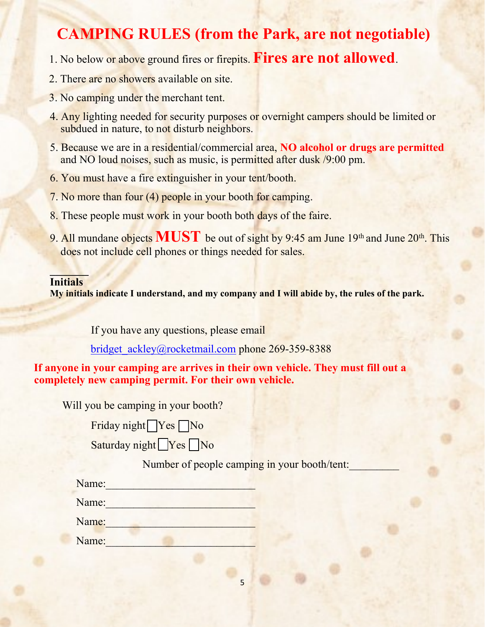## CAMPING RULES (from the Park, are not negotiable)

- 1. No below or above ground fires or firepits. Fires are not allowed.
- 2. There are no showers available on site.
- 3. No camping under the merchant tent.
- 4. Any lighting needed for security purposes or overnight campers should be limited or subdued in nature, to not disturb neighbors.
- 5. Because we are in a residential/commercial area, NO alcohol or drugs are permitted and NO loud noises, such as music, is permitted after dusk /9:00 pm.
- 6. You must have a fire extinguisher in your tent/booth.
- 7. No more than four (4) people in your booth for camping.
- 8. These people must work in your booth both days of the faire.
- 9. All mundane objects  $MUST$  be out of sight by 9:45 am June 19<sup>th</sup> and June 20<sup>th</sup>. This does not include cell phones or things needed for sales.

#### $\Box$ Initials

My initials indicate I understand, and my company and I will abide by, the rules of the park.

If you have any questions, please email

bridget\_ackley@rocketmail.com phone 269-359-8388

If anyone in your camping are arrives in their own vehicle. They must fill out a completely new camping permit. For their own vehicle.

Will you be camping in your booth?

Friday night  $\sqrt{Y}$ es  $\sqrt{N}$ 

Saturday night Yes No

Number of people camping in your booth/tent:

| Name: |  |  |  |
|-------|--|--|--|
|       |  |  |  |

Name:

Name:

Name: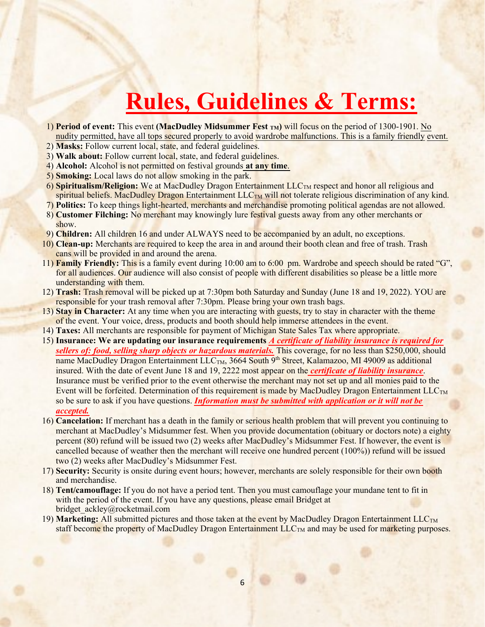# Rules, Guidelines & Terms:

- 1) Period of event: This event (MacDudley Midsummer Fest <sub>TM</sub>) will focus on the period of 1300-1901. No nudity permitted, have all tops secured properly to avoid wardrobe malfunctions. This is a family friendly event.
- 2) Masks: Follow current local, state, and federal guidelines.
- 3) Walk about: Follow current local, state, and federal guidelines.
- 4) Alcohol: Alcohol is not permitted on festival grounds at any time.
- 5) Smoking: Local laws do not allow smoking in the park.
- $6)$  Spiritualism/Religion: We at MacDudley Dragon Entertainment  $LLC<sub>TM</sub>$  respect and honor all religious and spiritual beliefs. MacDudley Dragon Entertainment LLC<sub>TM</sub> will not tolerate religious discrimination of any kind.
- 7) Politics: To keep things light-hearted, merchants and merchandise promoting political agendas are not allowed.
- 8) Customer Filching: No merchant may knowingly lure festival guests away from any other merchants or show.
- 9) Children: All children 16 and under ALWAYS need to be accompanied by an adult, no exceptions.
- 10) Clean-up: Merchants are required to keep the area in and around their booth clean and free of trash. Trash cans will be provided in and around the arena.
- 11) Family Friendly: This is a family event during 10:00 am to 6:00 pm. Wardrobe and speech should be rated "G", for all audiences. Our audience will also consist of people with different disabilities so please be a little more understanding with them.
- 12) Trash: Trash removal will be picked up at 7:30pm both Saturday and Sunday (June 18 and 19, 2022). YOU are responsible for your trash removal after 7:30pm. Please bring your own trash bags.
- 13) Stay in Character: At any time when you are interacting with guests, try to stay in character with the theme of the event. Your voice, dress, products and booth should help immerse attendees in the event.
- 14) Taxes: All merchants are responsible for payment of Michigan State Sales Tax where appropriate.
- 15) Insurance: We are updating our insurance requirements A certificate of liability insurance is required for sellers of: food, selling sharp objects or hazardous materials. This coverage, for no less than \$250,000, should name MacDudley Dragon Entertainment  $LLC_{TM}$ , 3664 South 9<sup>th</sup> Street, Kalamazoo, MI 49009 as additional insured. With the date of event June 18 and 19, 2222 most appear on the *certificate of liability insurance*. Insurance must be verified prior to the event otherwise the merchant may not set up and all monies paid to the Event will be forfeited. Determination of this requirement is made by MacDudley Dragon Entertainment  $LLC<sub>TM</sub>$ so be sure to ask if you have questions. Information must be submitted with application or it will not be accepted.
- 16) Cancelation: If merchant has a death in the family or serious health problem that will prevent you continuing to merchant at MacDudley's Midsummer fest. When you provide documentation (obituary or doctors note) a eighty percent (80) refund will be issued two (2) weeks after MacDudley's Midsummer Fest. If however, the event is cancelled because of weather then the merchant will receive one hundred percent (100%)) refund will be issued two (2) weeks after MacDudley's Midsummer Fest.
- 17) Security: Security is onsite during event hours; however, merchants are solely responsible for their own booth and merchandise.
- 18) Tent/camouflage: If you do not have a period tent. Then you must camouflage your mundane tent to fit in with the period of the event. If you have any questions, please email Bridget at bridget\_ackley@rocketmail.com
- 19) Marketing: All submitted pictures and those taken at the event by MacDudley Dragon Entertainment  $LLC<sub>TM</sub>$ staff become the property of MacDudley Dragon Entertainment  $LLC<sub>TM</sub>$  and may be used for marketing purposes.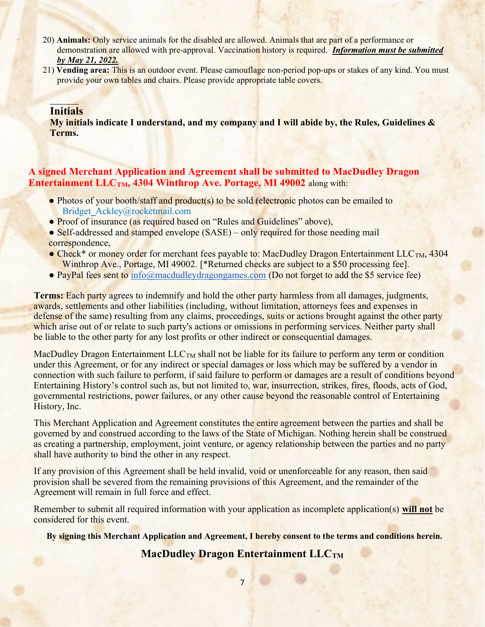- 20) Animals: Only service animals for the disabled are allowed. Animals that are part of a performance or demonstration are allowed with pre-approval. Vaccination history is required. *Information must be submitted* by May 21, 2022.
- 21) Vending area: This is an outdoor event. Please camouflage non-period pop-ups or stakes of any kind. You must provide your own tables and chairs. Please provide appropriate table covers.

#### **Initials**

My initials indicate I understand, and my company and I will abide by, the Rules, Guidelines  $\&$ Terms.

#### A signed Merchant Application and Agreement shall be submitted to MacDudley Dragon Entertainment LLC<sub>TM</sub>, 4304 Winthrop Ave. Portage, MI 49002 along with:

- Photos of your booth/staff and product(s) to be sold (electronic photos can be emailed to Bridget\_Ackley@rocketmail.com
- Proof of insurance (as required based on "Rules and Guidelines" above),
- Self-addressed and stamped envelope (SASE) only required for those needing mail correspondence,
- Check<sup>\*</sup> or money order for merchant fees payable to: MacDudley Dragon Entertainment LLC<sub>TM</sub>, 4304 Winthrop Ave., Portage, MI 49002. [\*Returned checks are subject to a \$50 processing fee].
- PayPal fees sent to info@macdudleydragongames.com (Do not forget to add the \$5 service fee)

**Terms:** Each party agrees to indemnify and hold the other party harmless from all damages, judgments, awards, settlements and other liabilities (including, without limitation, attorneys fees and expenses in defense of the same) resulting from any claims, proceedings, suits or actions brought against the other party which arise out of or relate to such party's actions or omissions in performing services. Neither party shall be liable to the other party for any lost profits or other indirect or consequential damages.

MacDudley Dragon Entertainment LLC<sub>TM</sub> shall not be liable for its failure to perform any term or condition under this Agreement, or for any indirect or special damages or loss which may be suffered by a vendor in connection with such failure to perform, if said failure to perform or damages are a result of conditions beyond Entertaining History's control such as, but not limited to, war, insurrection, strikes, fires, floods, acts of God, governmental restrictions, power failures, or any other cause beyond the reasonable control of Entertaining History, Inc.

This Merchant Application and Agreement constitutes the entire agreement between the parties and shall be governed by and construed according to the laws of the State of Michigan. Nothing herein shall be construed as creating a partnership, employment, joint venture, or agency relationship between the parties and no party shall have authority to bind the other in any respect.

If any provision of this Agreement shall be held invalid, void or unenforceable for any reason, then said provision shall be severed from the remaining provisions of this Agreement, and the remainder of the Agreement will remain in full force and effect.

Remember to submit all required information with your application as incomplete application(s) will not be considered for this event.

By signing this Merchant Application and Agreement, I hereby consent to the terms and conditions herein.

#### MacDudley Dragon Entertainment LLCTM